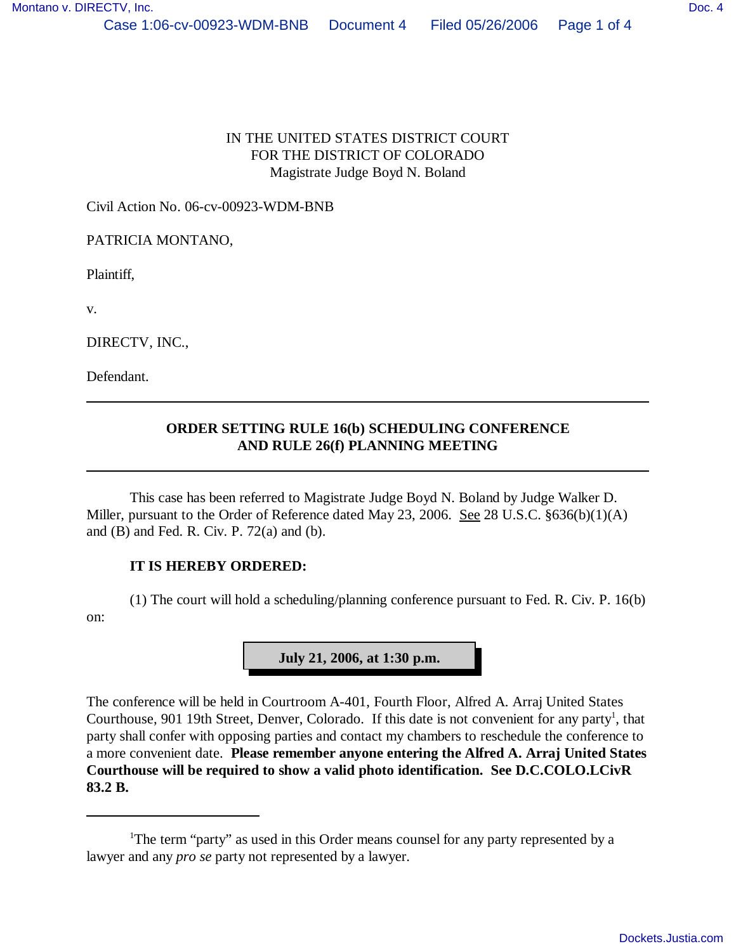## IN THE UNITED STATES DISTRICT COURT FOR THE DISTRICT OF COLORADO Magistrate Judge Boyd N. Boland

Civil Action No. 06-cv-00923-WDM-BNB

PATRICIA MONTANO,

Plaintiff,

v.

DIRECTV, INC.,

Defendant.

## **ORDER SETTING RULE 16(b) SCHEDULING CONFERENCE AND RULE 26(f) PLANNING MEETING**

This case has been referred to Magistrate Judge Boyd N. Boland by Judge Walker D. Miller, pursuant to the Order of Reference dated May 23, 2006. See 28 U.S.C. §636(b)(1)(A) and  $(B)$  and Fed. R. Civ. P. 72 $(a)$  and  $(b)$ .

## **IT IS HEREBY ORDERED:**

(1) The court will hold a scheduling/planning conference pursuant to Fed. R. Civ. P. 16(b) on:

**July 21, 2006, at 1:30 p.m.**

The conference will be held in Courtroom A-401, Fourth Floor, Alfred A. Arraj United States Courthouse, 901 19th Street, Denver, Colorado. If this date is not convenient for any party<sup>1</sup>, that party shall confer with opposing parties and contact my chambers to reschedule the conference to a more convenient date. **Please remember anyone entering the Alfred A. Arraj United States Courthouse will be required to show a valid photo identification. See D.C.COLO.LCivR 83.2 B.**

<sup>&</sup>lt;sup>1</sup>The term "party" as used in this Order means counsel for any party represented by a lawyer and any *pro se* party not represented by a lawyer.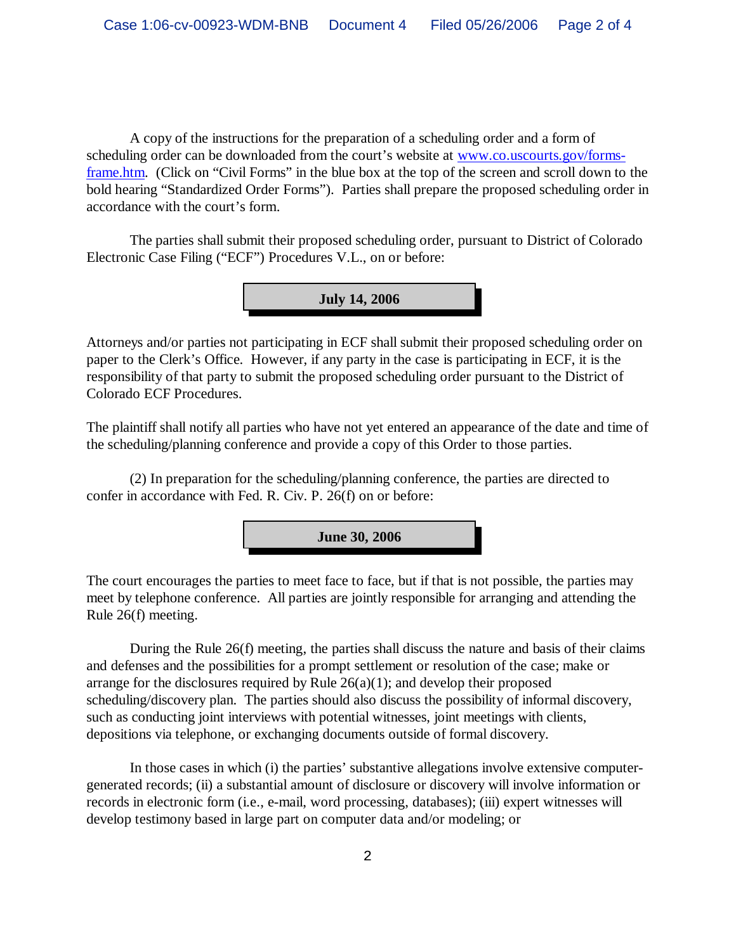A copy of the instructions for the preparation of a scheduling order and a form of scheduling order can be downloaded from the court's website at [www.co.uscourts.gov/forms](http://www.co.uscourts.gov/forms-)frame.htm. (Click on "Civil Forms" in the blue box at the top of the screen and scroll down to the bold hearing "Standardized Order Forms"). Parties shall prepare the proposed scheduling order in accordance with the court's form.

The parties shall submit their proposed scheduling order, pursuant to District of Colorado Electronic Case Filing ("ECF") Procedures V.L., on or before:



Attorneys and/or parties not participating in ECF shall submit their proposed scheduling order on paper to the Clerk's Office. However, if any party in the case is participating in ECF, it is the responsibility of that party to submit the proposed scheduling order pursuant to the District of Colorado ECF Procedures.

The plaintiff shall notify all parties who have not yet entered an appearance of the date and time of the scheduling/planning conference and provide a copy of this Order to those parties.

(2) In preparation for the scheduling/planning conference, the parties are directed to confer in accordance with Fed. R. Civ. P. 26(f) on or before:



The court encourages the parties to meet face to face, but if that is not possible, the parties may meet by telephone conference. All parties are jointly responsible for arranging and attending the Rule 26(f) meeting.

During the Rule 26(f) meeting, the parties shall discuss the nature and basis of their claims and defenses and the possibilities for a prompt settlement or resolution of the case; make or arrange for the disclosures required by Rule  $26(a)(1)$ ; and develop their proposed scheduling/discovery plan. The parties should also discuss the possibility of informal discovery, such as conducting joint interviews with potential witnesses, joint meetings with clients, depositions via telephone, or exchanging documents outside of formal discovery.

In those cases in which (i) the parties' substantive allegations involve extensive computergenerated records; (ii) a substantial amount of disclosure or discovery will involve information or records in electronic form (i.e., e-mail, word processing, databases); (iii) expert witnesses will develop testimony based in large part on computer data and/or modeling; or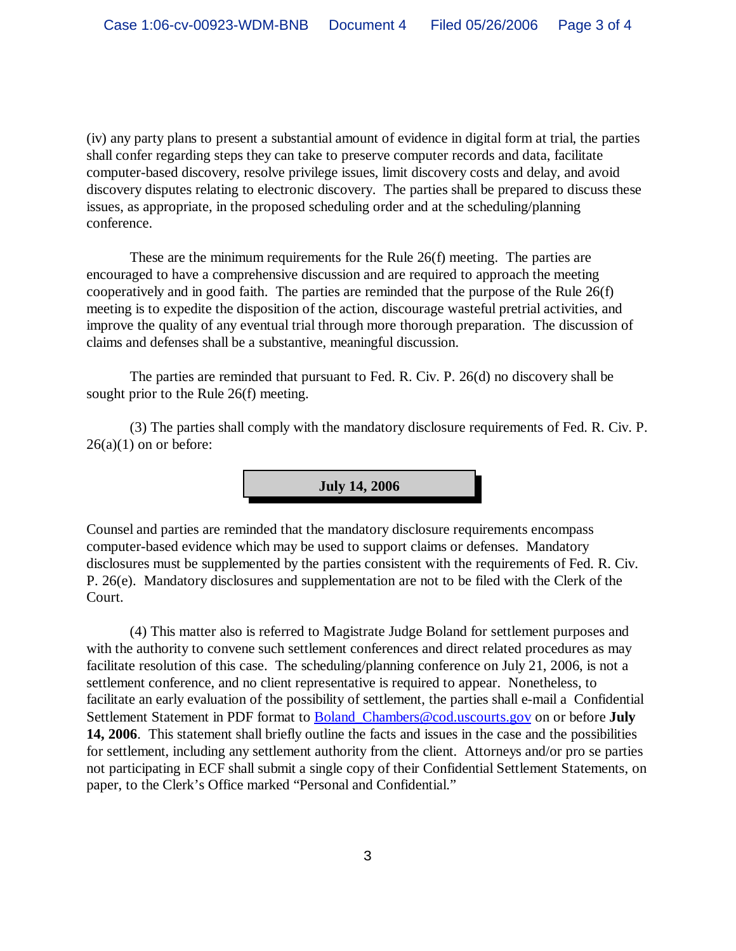(iv) any party plans to present a substantial amount of evidence in digital form at trial, the parties shall confer regarding steps they can take to preserve computer records and data, facilitate computer-based discovery, resolve privilege issues, limit discovery costs and delay, and avoid discovery disputes relating to electronic discovery. The parties shall be prepared to discuss these issues, as appropriate, in the proposed scheduling order and at the scheduling/planning conference.

These are the minimum requirements for the Rule 26(f) meeting. The parties are encouraged to have a comprehensive discussion and are required to approach the meeting cooperatively and in good faith. The parties are reminded that the purpose of the Rule 26(f) meeting is to expedite the disposition of the action, discourage wasteful pretrial activities, and improve the quality of any eventual trial through more thorough preparation. The discussion of claims and defenses shall be a substantive, meaningful discussion.

The parties are reminded that pursuant to Fed. R. Civ. P. 26(d) no discovery shall be sought prior to the Rule 26(f) meeting.

(3) The parties shall comply with the mandatory disclosure requirements of Fed. R. Civ. P.  $26(a)(1)$  on or before:

**July 14, 2006**

Counsel and parties are reminded that the mandatory disclosure requirements encompass computer-based evidence which may be used to support claims or defenses. Mandatory disclosures must be supplemented by the parties consistent with the requirements of Fed. R. Civ. P. 26(e). Mandatory disclosures and supplementation are not to be filed with the Clerk of the Court.

(4) This matter also is referred to Magistrate Judge Boland for settlement purposes and with the authority to convene such settlement conferences and direct related procedures as may facilitate resolution of this case. The scheduling/planning conference on July 21, 2006, is not a settlement conference, and no client representative is required to appear. Nonetheless, to facilitate an early evaluation of the possibility of settlement, the parties shall e-mail a Confidential Settlement Statement in PDF format to [Boland\\_Chambers@cod.uscourts.gov](mailto:Boland_Chambers@cod.uscourts.gov) on or before **July 14, 2006**. This statement shall briefly outline the facts and issues in the case and the possibilities for settlement, including any settlement authority from the client. Attorneys and/or pro se parties not participating in ECF shall submit a single copy of their Confidential Settlement Statements, on paper, to the Clerk's Office marked "Personal and Confidential."